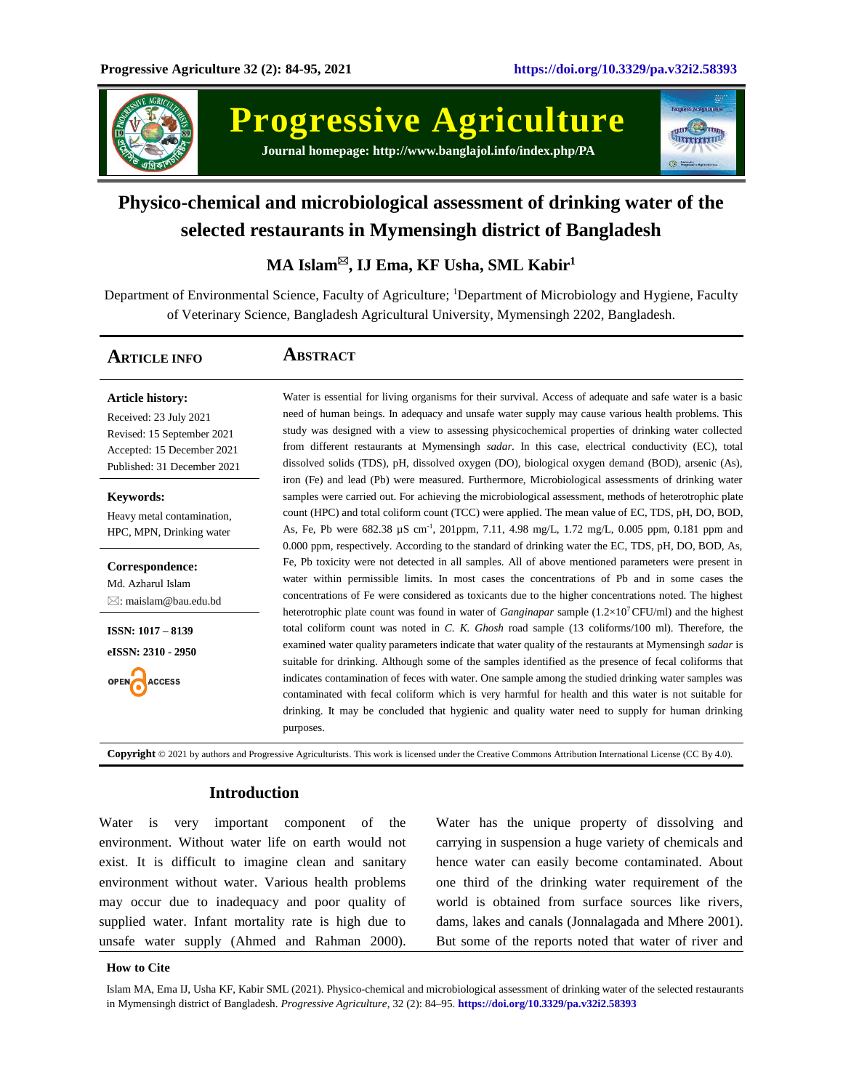

**Progressive Agriculture Journal homepage: http://www.banglajol.info/index.php/PA**



# **Physico-chemical and microbiological assessment of drinking water of the selected restaurants in Mymensingh district of Bangladesh**

**MA Islam, IJ Ema, KF Usha, SML Kabir<sup>1</sup>**

Department of Environmental Science, Faculty of Agriculture; <sup>1</sup>Department of Microbiology and Hygiene, Faculty of Veterinary Science, Bangladesh Agricultural University, Mymensingh 2202, Bangladesh.

# **ARTICLE INFO ABSTRACT**

**Article history:** Received: 23 July 2021 Revised: 15 September 2021 Accepted: 15 December 2021 Published: 31 December 2021

**Keywords:** Heavy metal contamination, HPC, MPN, Drinking water

**Correspondence:** Md. Azharul Islam  $\boxtimes$ [: maislam@bau.edu.bd](mailto:maislam@bau.edu.bd)

**ISSN: 1017 – 8139 eISSN: 2310 - 2950**

**ACCESS OPEN** 

Water is essential for living organisms for their survival. Access of adequate and safe water is a basic need of human beings. In adequacy and unsafe water supply may cause various health problems. This study was designed with a view to assessing physicochemical properties of drinking water collected from different restaurants at Mymensingh *sadar*. In this case, electrical conductivity (EC), total dissolved solids (TDS), pH, dissolved oxygen (DO), biological oxygen demand (BOD), arsenic (As), iron (Fe) and lead (Pb) were measured. Furthermore, Microbiological assessments of drinking water samples were carried out. For achieving the microbiological assessment, methods of heterotrophic plate count (HPC) and total coliform count (TCC) were applied. The mean value of EC, TDS, pH, DO, BOD, As, Fe, Pb were 682.38 µS cm-1 , 201ppm, 7.11, 4.98 mg/L, 1.72 mg/L, 0.005 ppm, 0.181 ppm and 0.000 ppm, respectively. According to the standard of drinking water the EC, TDS, pH, DO, BOD, As, Fe, Pb toxicity were not detected in all samples. All of above mentioned parameters were present in water within permissible limits. In most cases the concentrations of Pb and in some cases the concentrations of Fe were considered as toxicants due to the higher concentrations noted. The highest heterotrophic plate count was found in water of *Ganginapar* sample (1.2×10<sup>7</sup>CFU/ml) and the highest total coliform count was noted in *C. K. Ghosh* road sample (13 coliforms/100 ml). Therefore, the examined water quality parameters indicate that water quality of the restaurants at Mymensingh *sadar* is suitable for drinking. Although some of the samples identified as the presence of fecal coliforms that indicates contamination of feces with water. One sample among the studied drinking water samples was contaminated with fecal coliform which is very harmful for health and this water is not suitable for drinking. It may be concluded that hygienic and quality water need to supply for human drinking purposes.

**Copyright** © 2021 by authors and Progressive Agriculturists. This work is licensed under the Creative Commons Attribution International License (CC By 4.0).

# **Introduction**

Water is very important component of the environment. Without water life on earth would not exist. It is difficult to imagine clean and sanitary environment without water. Various health problems may occur due to inadequacy and poor quality of supplied water. Infant mortality rate is high due to unsafe water supply (Ahmed and Rahman 2000).

Water has the unique property of dissolving and carrying in suspension a huge variety of chemicals and hence water can easily become contaminated. About one third of the drinking water requirement of the world is obtained from surface sources like rivers, dams, lakes and canals (Jonnalagada and Mhere 2001). But some of the reports noted that water of river and

#### **How to Cite**

Islam MA, Ema IJ, Usha KF, Kabir SML (2021). Physico-chemical and microbiological assessment of drinking water of the selected restaurants in Mymensingh district of Bangladesh. *Progressive Agriculture*, 32 (2): 84–95. **https://doi.org/10.3329/pa.v32i2.58393**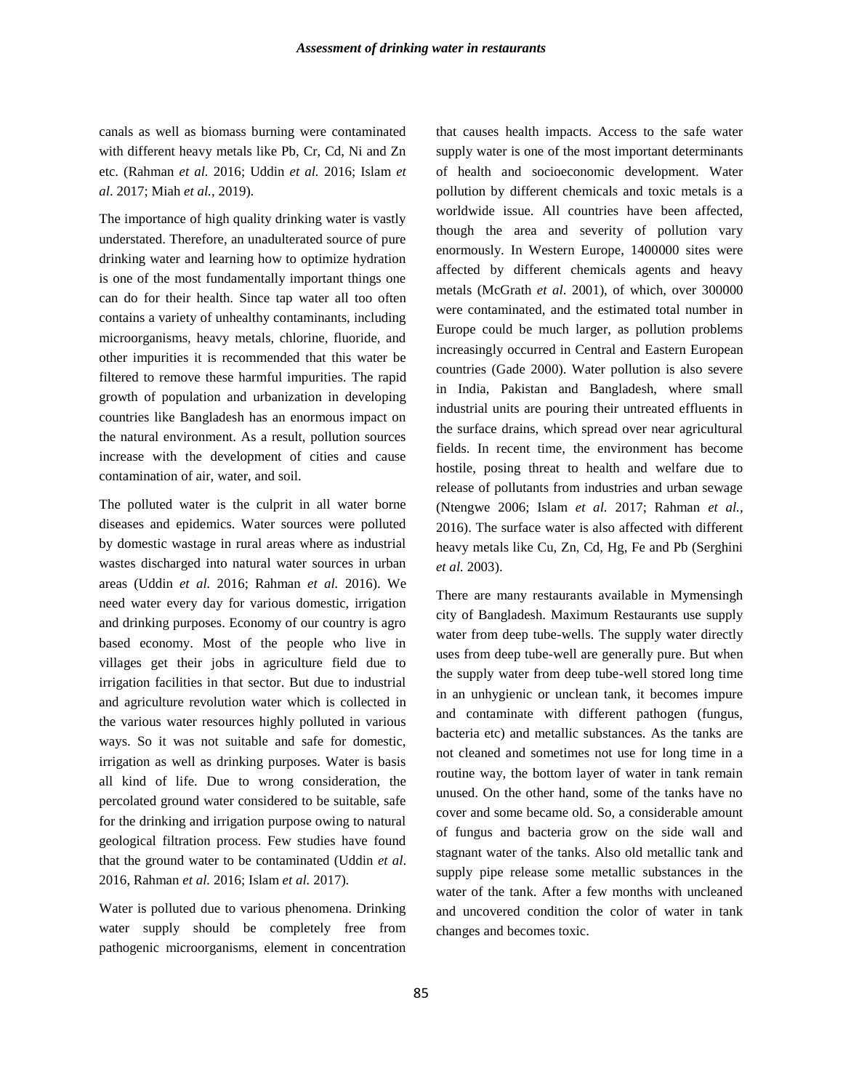canals as well as biomass burning were contaminated with different heavy metals like Pb, Cr, Cd, Ni and Zn etc. (Rahman *et al.* 2016; Uddin *et al.* 2016; Islam *et al*. 2017; Miah *et al.*, 2019).

The importance of high quality drinking water is vastly understated. Therefore, an unadulterated source of pure drinking water and learning how to optimize hydration is one of the most fundamentally important things one can do for their health. Since tap water all too often contains a variety of unhealthy contaminants, including microorganisms, heavy metals, chlorine, fluoride, and other impurities it is recommended that this water be filtered to remove these harmful impurities. The rapid growth of population and urbanization in developing countries like Bangladesh has an enormous impact on the natural environment. As a result, pollution sources increase with the development of cities and cause contamination of air, water, and soil.

The polluted water is the culprit in all water borne diseases and epidemics. Water sources were polluted by domestic wastage in rural areas where as industrial wastes discharged into natural water sources in urban areas (Uddin *et al.* 2016; Rahman *et al.* 2016). We need water every day for various domestic, irrigation and drinking purposes. Economy of our country is agro based economy. Most of the people who live in villages get their jobs in agriculture field due to irrigation facilities in that sector. But due to industrial and agriculture revolution water which is collected in the various water resources highly polluted in various ways. So it was not suitable and safe for domestic, irrigation as well as drinking purposes. Water is basis all kind of life. Due to wrong consideration, the percolated ground water considered to be suitable, safe for the drinking and irrigation purpose owing to natural geological filtration process. Few studies have found that the ground water to be contaminated (Uddin *et al*. 2016, Rahman *et al.* 2016; Islam *et al.* 2017).

Water is polluted due to various phenomena. Drinking water supply should be completely free from pathogenic microorganisms, element in concentration

that causes health impacts. Access to the safe water supply water is one of the most important determinants of health and socioeconomic development. Water pollution by different chemicals and toxic metals is a worldwide issue. All countries have been affected, though the area and severity of pollution vary enormously. In Western Europe, 1400000 sites were affected by different chemicals agents and heavy metals (McGrath *et al*. 2001), of which, over 300000 were contaminated, and the estimated total number in Europe could be much larger, as pollution problems increasingly occurred in Central and Eastern European countries (Gade 2000). Water pollution is also severe in India, Pakistan and Bangladesh, where small industrial units are pouring their untreated effluents in the surface drains, which spread over near agricultural fields. In recent time, the environment has become hostile, posing threat to health and welfare due to release of pollutants from industries and urban sewage (Ntengwe 2006; Islam *et al.* 2017; Rahman *et al.,*  2016). The surface water is also affected with different heavy metals like Cu, Zn, Cd, Hg, Fe and Pb (Serghini *et al.* 2003).

There are many restaurants available in Mymensingh city of Bangladesh. Maximum Restaurants use supply water from deep tube-wells. The supply water directly uses from deep tube-well are generally pure. But when the supply water from deep tube-well stored long time in an unhygienic or unclean tank, it becomes impure and contaminate with different pathogen (fungus, bacteria etc) and metallic substances. As the tanks are not cleaned and sometimes not use for long time in a routine way, the bottom layer of water in tank remain unused. On the other hand, some of the tanks have no cover and some became old. So, a considerable amount of fungus and bacteria grow on the side wall and stagnant water of the tanks. Also old metallic tank and supply pipe release some metallic substances in the water of the tank. After a few months with uncleaned and uncovered condition the color of water in tank changes and becomes toxic.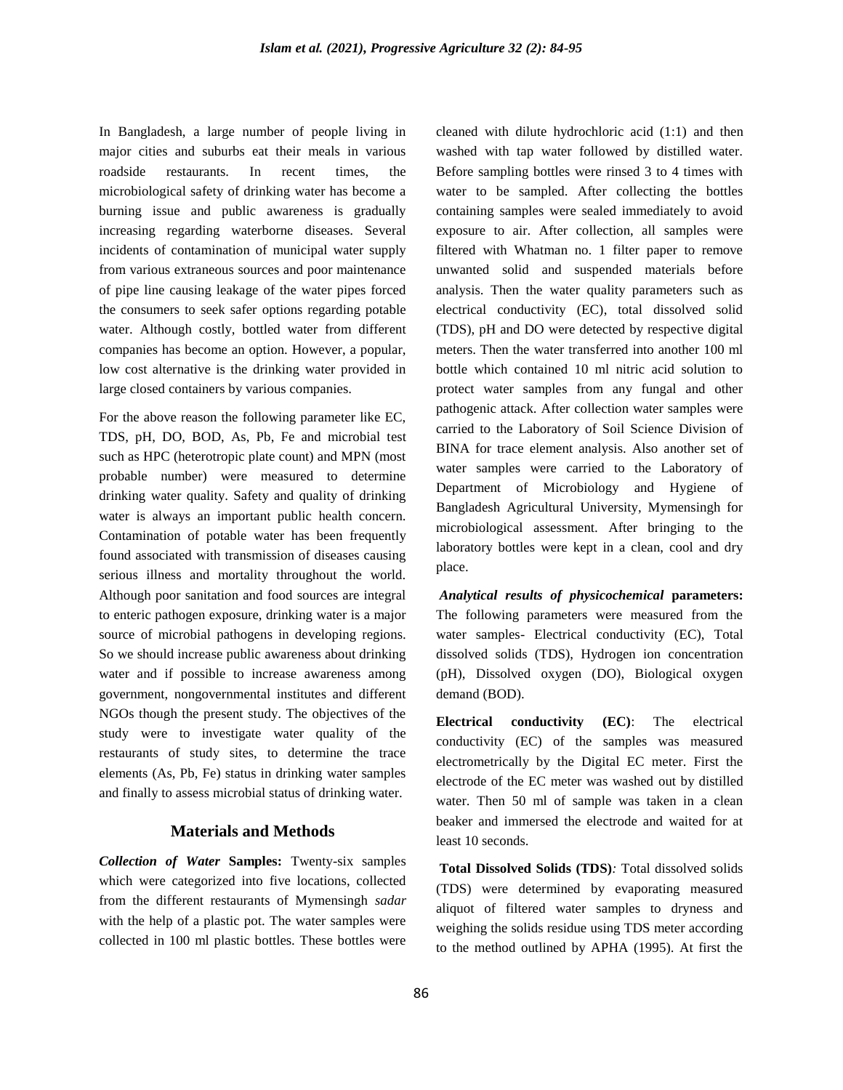In Bangladesh, a large number of people living in major cities and suburbs eat their meals in various roadside restaurants. In recent times, the microbiological safety of drinking water has become a burning issue and public awareness is gradually increasing regarding waterborne diseases. Several incidents of contamination of municipal water supply from various extraneous sources and poor maintenance of pipe line causing leakage of the water pipes forced the consumers to seek safer options regarding potable water. Although costly, bottled water from different companies has become an option. However, a popular, low cost alternative is the drinking water provided in large closed containers by various companies.

For the above reason the following parameter like EC, TDS, pH, DO, BOD, As, Pb, Fe and microbial test such as HPC (heterotropic plate count) and MPN (most probable number) were measured to determine drinking water quality. Safety and quality of drinking water is always an important public health concern. Contamination of potable water has been frequently found associated with transmission of diseases causing serious illness and mortality throughout the world. Although poor sanitation and food sources are integral to enteric pathogen exposure, drinking water is a major source of microbial pathogens in developing regions. So we should increase public awareness about drinking water and if possible to increase awareness among government, nongovernmental institutes and different NGOs though the present study. The objectives of the study were to investigate water quality of the restaurants of study sites, to determine the trace elements (As, Pb, Fe) status in drinking water samples and finally to assess microbial status of drinking water.

#### **Materials and Methods**

*Collection of Water* **Samples:** Twenty-six samples which were categorized into five locations, collected from the different restaurants of Mymensingh *sadar* with the help of a plastic pot. The water samples were collected in 100 ml plastic bottles. These bottles were cleaned with dilute hydrochloric acid (1:1) and then washed with tap water followed by distilled water. Before sampling bottles were rinsed 3 to 4 times with water to be sampled. After collecting the bottles containing samples were sealed immediately to avoid exposure to air. After collection, all samples were filtered with Whatman no. 1 filter paper to remove unwanted solid and suspended materials before analysis. Then the water quality parameters such as electrical conductivity (EC), total dissolved solid (TDS), pH and DO were detected by respective digital meters. Then the water transferred into another 100 ml bottle which contained 10 ml nitric acid solution to protect water samples from any fungal and other pathogenic attack. After collection water samples were carried to the Laboratory of Soil Science Division of BINA for trace element analysis. Also another set of water samples were carried to the Laboratory of Department of Microbiology and Hygiene of Bangladesh Agricultural University, Mymensingh for microbiological assessment. After bringing to the laboratory bottles were kept in a clean, cool and dry place.

*Analytical results of physicochemical* **parameters:**  The following parameters were measured from the water samples- Electrical conductivity (EC), Total dissolved solids (TDS), Hydrogen ion concentration (pH), Dissolved oxygen (DO), Biological oxygen demand (BOD).

**Electrical conductivity (EC)**: The electrical conductivity (EC) of the samples was measured electrometrically by the Digital EC meter. First the electrode of the EC meter was washed out by distilled water. Then 50 ml of sample was taken in a clean beaker and immersed the electrode and waited for at least 10 seconds.

**Total Dissolved Solids (TDS)***:* Total dissolved solids (TDS) were determined by evaporating measured aliquot of filtered water samples to dryness and weighing the solids residue using TDS meter according to the method outlined by APHA (1995). At first the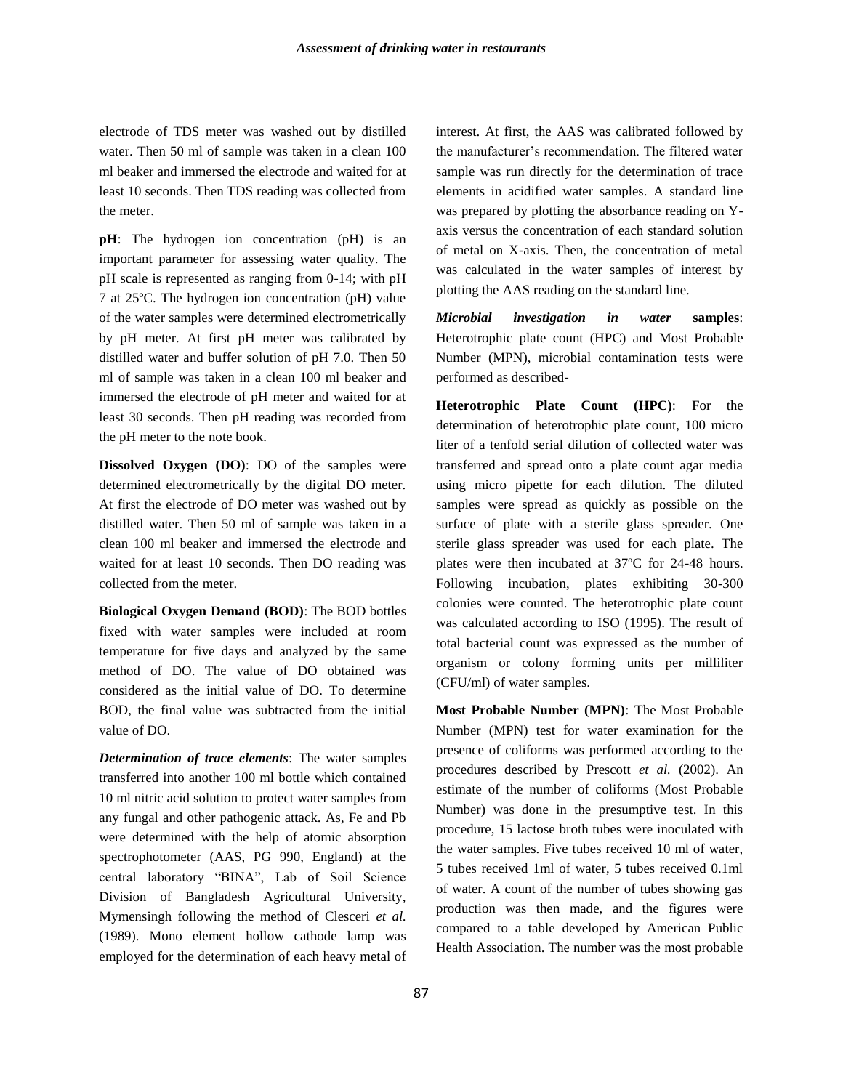electrode of TDS meter was washed out by distilled water. Then 50 ml of sample was taken in a clean 100 ml beaker and immersed the electrode and waited for at least 10 seconds. Then TDS reading was collected from the meter.

**pH**: The hydrogen ion concentration (pH) is an important parameter for assessing water quality. The pH scale is represented as ranging from 0-14; with pH 7 at 25ºC. The hydrogen ion concentration (pH) value of the water samples were determined electrometrically by pH meter. At first pH meter was calibrated by distilled water and buffer solution of pH 7.0. Then 50 ml of sample was taken in a clean 100 ml beaker and immersed the electrode of pH meter and waited for at least 30 seconds. Then pH reading was recorded from the pH meter to the note book.

**Dissolved Oxygen (DO)**: DO of the samples were determined electrometrically by the digital DO meter. At first the electrode of DO meter was washed out by distilled water. Then 50 ml of sample was taken in a clean 100 ml beaker and immersed the electrode and waited for at least 10 seconds. Then DO reading was collected from the meter.

**Biological Oxygen Demand (BOD)**: The BOD bottles fixed with water samples were included at room temperature for five days and analyzed by the same method of DO. The value of DO obtained was considered as the initial value of DO. To determine BOD, the final value was subtracted from the initial value of DO.

*Determination of trace elements*: The water samples transferred into another 100 ml bottle which contained 10 ml nitric acid solution to protect water samples from any fungal and other pathogenic attack. As, Fe and Pb were determined with the help of atomic absorption spectrophotometer (AAS, PG 990, England) at the central laboratory "BINA", Lab of Soil Science Division of Bangladesh Agricultural University, Mymensingh following the method of Clesceri *et al.* (1989). Mono element hollow cathode lamp was employed for the determination of each heavy metal of interest. At first, the AAS was calibrated followed by the manufacturer's recommendation. The filtered water sample was run directly for the determination of trace elements in acidified water samples. A standard line was prepared by plotting the absorbance reading on Yaxis versus the concentration of each standard solution of metal on X-axis. Then, the concentration of metal was calculated in the water samples of interest by plotting the AAS reading on the standard line.

*Microbial investigation in water* **samples**: Heterotrophic plate count (HPC) and Most Probable Number (MPN), microbial contamination tests were performed as described-

**Heterotrophic Plate Count (HPC)**: For the determination of heterotrophic plate count, 100 micro liter of a tenfold serial dilution of collected water was transferred and spread onto a plate count agar media using micro pipette for each dilution. The diluted samples were spread as quickly as possible on the surface of plate with a sterile glass spreader. One sterile glass spreader was used for each plate. The plates were then incubated at 37ºC for 24-48 hours. Following incubation, plates exhibiting 30-300 colonies were counted. The heterotrophic plate count was calculated according to ISO (1995). The result of total bacterial count was expressed as the number of organism or colony forming units per milliliter (CFU/ml) of water samples.

**Most Probable Number (MPN)**: The Most Probable Number (MPN) test for water examination for the presence of coliforms was performed according to the procedures described by Prescott *et al.* (2002). An estimate of the number of coliforms (Most Probable Number) was done in the presumptive test. In this procedure, 15 lactose broth tubes were inoculated with the water samples. Five tubes received 10 ml of water, 5 tubes received 1ml of water, 5 tubes received 0.1ml of water. A count of the number of tubes showing gas production was then made, and the figures were compared to a table developed by American Public Health Association. The number was the most probable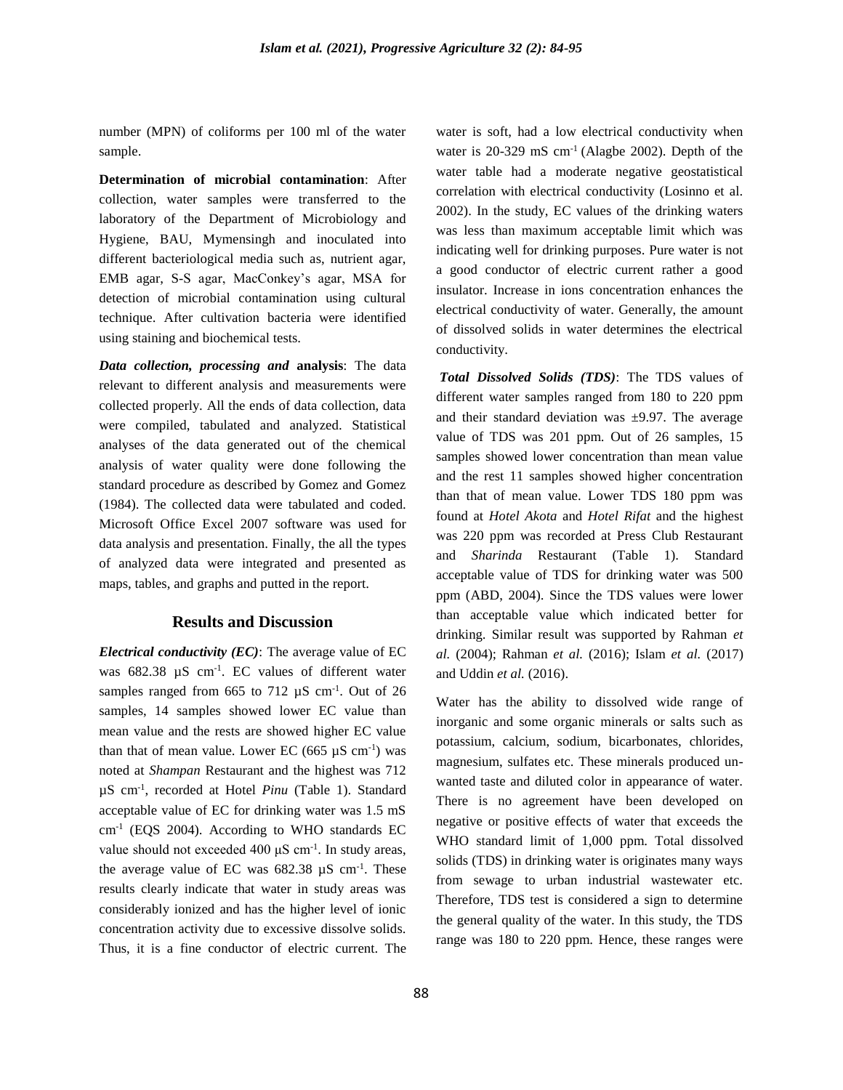number (MPN) of coliforms per 100 ml of the water sample.

**Determination of microbial contamination**: After collection, water samples were transferred to the laboratory of the Department of Microbiology and Hygiene, BAU, Mymensingh and inoculated into different bacteriological media such as, nutrient agar, EMB agar, S-S agar, MacConkey's agar, MSA for detection of microbial contamination using cultural technique. After cultivation bacteria were identified using staining and biochemical tests.

*Data collection, processing and* **analysis**: The data relevant to different analysis and measurements were collected properly. All the ends of data collection, data were compiled, tabulated and analyzed. Statistical analyses of the data generated out of the chemical analysis of water quality were done following the standard procedure as described by Gomez and Gomez (1984). The collected data were tabulated and coded. Microsoft Office Excel 2007 software was used for data analysis and presentation. Finally, the all the types of analyzed data were integrated and presented as maps, tables, and graphs and putted in the report.

### **Results and Discussion**

*Electrical conductivity (EC)*: The average value of EC was  $682.38 \mu S$  cm<sup>-1</sup>. EC values of different water samples ranged from  $665$  to  $712 \mu S$  cm<sup>-1</sup>. Out of 26 samples, 14 samples showed lower EC value than mean value and the rests are showed higher EC value than that of mean value. Lower EC (665  $\mu$ S cm<sup>-1</sup>) was noted at *Shampan* Restaurant and the highest was 712 µS cm-1 , recorded at Hotel *Pinu* (Table 1). Standard acceptable value of EC for drinking water was 1.5 mS cm-1 (EQS 2004). According to WHO standards EC value should not exceeded  $400 \mu S$  cm<sup>-1</sup>. In study areas, the average value of EC was  $682.38 \mu S \text{ cm}^{-1}$ . These results clearly indicate that water in study areas was considerably ionized and has the higher level of ionic concentration activity due to excessive dissolve solids. Thus, it is a fine conductor of electric current. The

water is soft, had a low electrical conductivity when water is  $20-329$  mS cm<sup>-1</sup> (Alagbe 2002). Depth of the water table had a moderate negative geostatistical correlation with electrical conductivity (Losinno et al. 2002). In the study, EC values of the drinking waters was less than maximum acceptable limit which was indicating well for drinking purposes. Pure water is not a good conductor of electric current rather a good insulator. Increase in ions concentration enhances the electrical conductivity of water. Generally, the amount of dissolved solids in water determines the electrical conductivity.

*Total Dissolved Solids (TDS)*: The TDS values of different water samples ranged from 180 to 220 ppm and their standard deviation was  $\pm$ 9.97. The average value of TDS was 201 ppm. Out of 26 samples, 15 samples showed lower concentration than mean value and the rest 11 samples showed higher concentration than that of mean value. Lower TDS 180 ppm was found at *Hotel Akota* and *Hotel Rifat* and the highest was 220 ppm was recorded at Press Club Restaurant and *Sharinda* Restaurant (Table 1). Standard acceptable value of TDS for drinking water was 500 ppm (ABD, 2004). Since the TDS values were lower than acceptable value which indicated better for drinking. Similar result was supported by Rahman *et al.* (2004); Rahman *et al.* (2016); Islam *et al.* (2017) and Uddin *et al.* (2016).

Water has the ability to dissolved wide range of inorganic and some organic minerals or salts such as potassium, calcium, sodium, bicarbonates, chlorides, magnesium, sulfates etc. These minerals produced unwanted taste and diluted color in appearance of water. There is no agreement have been developed on negative or positive effects of water that exceeds the WHO standard limit of 1,000 ppm. Total dissolved solids (TDS) in drinking water is originates many ways from sewage to urban industrial wastewater etc. Therefore, TDS test is considered a sign to determine the general quality of the water. In this study, the TDS range was 180 to 220 ppm. Hence, these ranges were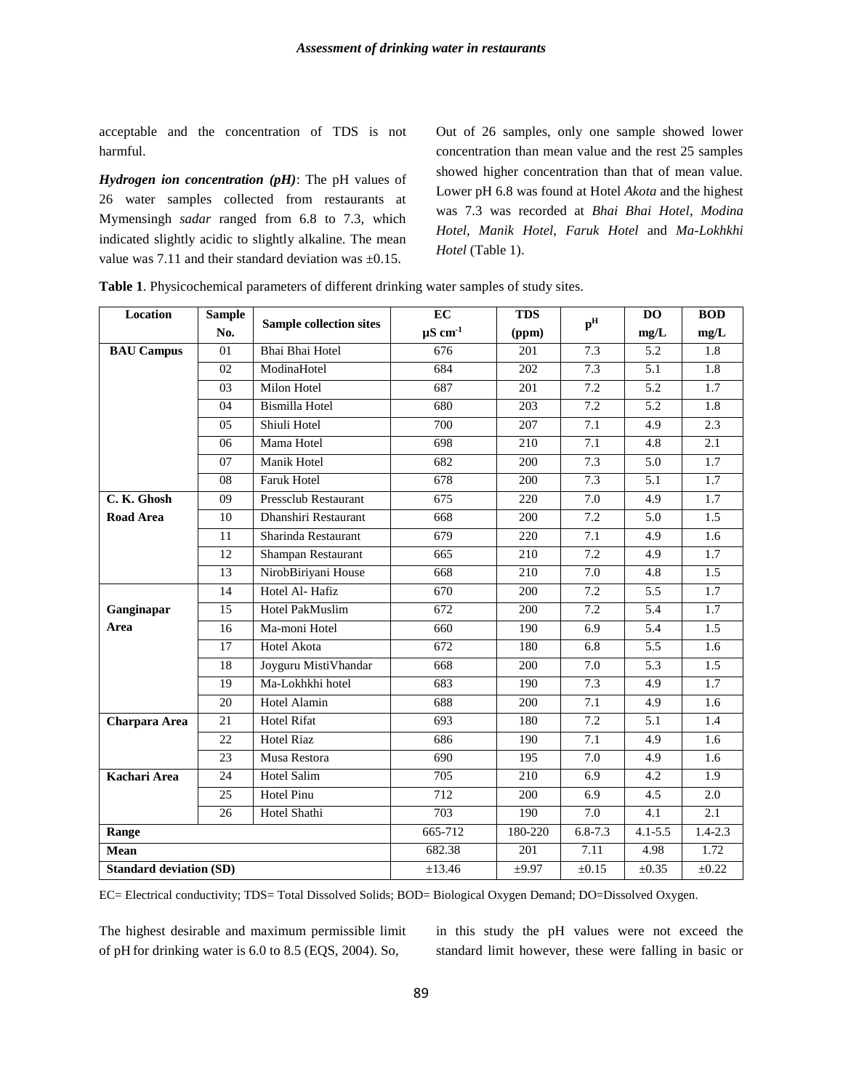acceptable and the concentration of TDS is not harmful.

*Hydrogen ion concentration (pH)*: The pH values of 26 water samples collected from restaurants at Mymensingh *sadar* ranged from 6.8 to 7.3, which indicated slightly acidic to slightly alkaline. The mean value was 7.11 and their standard deviation was  $\pm 0.15$ .

Out of 26 samples, only one sample showed lower concentration than mean value and the rest 25 samples showed higher concentration than that of mean value. Lower pH 6.8 was found at Hotel *Akota* and the highest was 7.3 was recorded at *Bhai Bhai Hotel*, *Modina Hotel*, *Manik Hotel*, *Faruk Hotel* and *Ma-Lokhkhi Hotel* (Table 1).

| Location                       | <b>Sample</b>   | <b>Sample collection sites</b> | EC                 | <b>TDS</b>       | p <sup>H</sup>   | D <sub>O</sub>   | <b>BOD</b>       |
|--------------------------------|-----------------|--------------------------------|--------------------|------------------|------------------|------------------|------------------|
|                                | No.             |                                | $\mu$ S cm $^{-1}$ | (ppm)            |                  | mg/L             | mg/L             |
| <b>BAU Campus</b>              | 01              | Bhai Bhai Hotel                | 676                | 201              | 7.3              | 5.2              | 1.8              |
|                                | 02              | ModinaHotel                    | 684                | 202              | 7.3              | 5.1              | 1.8              |
|                                | $\overline{03}$ | Milon Hotel                    | 687                | $\overline{201}$ | 7.2              | 5.2              | 1.7              |
|                                | 04              | <b>Bismilla Hotel</b>          | 680                | 203              | 7.2              | 5.2              | 1.8              |
|                                | 05              | Shiuli Hotel                   | 700                | 207              | 7.1              | 4.9              | $\overline{2.3}$ |
|                                | 06              | Mama Hotel                     | 698                | $\overline{210}$ | $\overline{7.1}$ | 4.8              | 2.1              |
|                                | 07              | Manik Hotel                    | 682                | 200              | 7.3              | $\overline{5.0}$ | $\overline{1.7}$ |
|                                | 08              | Faruk Hotel                    | 678                | 200              | 7.3              | $\overline{5.1}$ | $\overline{1.7}$ |
| C. K. Ghosh                    | 09              | Pressclub Restaurant           | 675                | 220              | 7.0              | 4.9              | 1.7              |
| <b>Road Area</b>               | 10              | Dhanshiri Restaurant           | 668                | 200              | 7.2              | 5.0              | $\overline{1.5}$ |
|                                | 11              | Sharinda Restaurant            | 679                | 220              | 7.1              | 4.9              | 1.6              |
|                                | 12              | <b>Shampan Restaurant</b>      | 665                | 210              | 7.2              | 4.9              | $\overline{1.7}$ |
|                                | 13              | NirobBiriyani House            | 668                | 210              | 7.0              | 4.8              | 1.5              |
|                                | 14              | Hotel Al-Hafiz                 | 670                | 200              | 7.2              | $\overline{5.5}$ | $\overline{1.7}$ |
| Ganginapar                     | $\overline{15}$ | Hotel PakMuslim                | $\overline{672}$   | 200              | 7.2              | $\overline{5.4}$ | $\overline{1.7}$ |
| Area                           | 16              | Ma-moni Hotel                  | 660                | 190              | 6.9              | 5.4              | 1.5              |
|                                | 17              | Hotel Akota                    | 672                | 180              | 6.8              | 5.5              | 1.6              |
|                                | 18              | Joyguru MistiVhandar           | 668                | 200              | 7.0              | 5.3              | 1.5              |
|                                | 19              | Ma-Lokhkhi hotel               | 683                | 190              | 7.3              | 4.9              | 1.7              |
|                                | 20              | Hotel Alamin                   | 688                | 200              | 7.1              | 4.9              | 1.6              |
| Charpara Area                  | 21              | <b>Hotel Rifat</b>             | 693                | 180              | 7.2              | 5.1              | 1.4              |
|                                | 22              | <b>Hotel Riaz</b>              | 686                | 190              | $\overline{7.1}$ | 4.9              | 1.6              |
|                                | 23              | Musa Restora                   | 690                | 195              | 7.0              | 4.9              | 1.6              |
| Kachari Area                   | 24              | <b>Hotel Salim</b>             | 705                | 210              | 6.9              | 4.2              | 1.9              |
|                                | 25              | <b>Hotel Pinu</b>              | 712                | 200              | 6.9              | 4.5              | 2.0              |
|                                | 26              | Hotel Shathi                   | 703                | 190              | 7.0              | 4.1              | 2.1              |
| Range                          |                 |                                | 665-712            | 180-220          | $6.8 - 7.3$      | $4.1 - 5.5$      | $1.4 - 2.3$      |
| Mean                           |                 |                                | 682.38             | 201              | 7.11             | 4.98             | 1.72             |
| <b>Standard deviation (SD)</b> |                 |                                | ±13.46             | ±9.97            | $\pm 0.15$       | $\pm 0.35$       | $\pm 0.22$       |

**Table 1**. Physicochemical parameters of different drinking water samples of study sites.

EC= Electrical conductivity; TDS= Total Dissolved Solids; BOD= Biological Oxygen Demand; DO=Dissolved Oxygen.

The highest desirable and maximum permissible limit of pH for drinking water is 6.0 to 8.5 (EQS, 2004). So,

in this study the pH values were not exceed the standard limit however, these were falling in basic or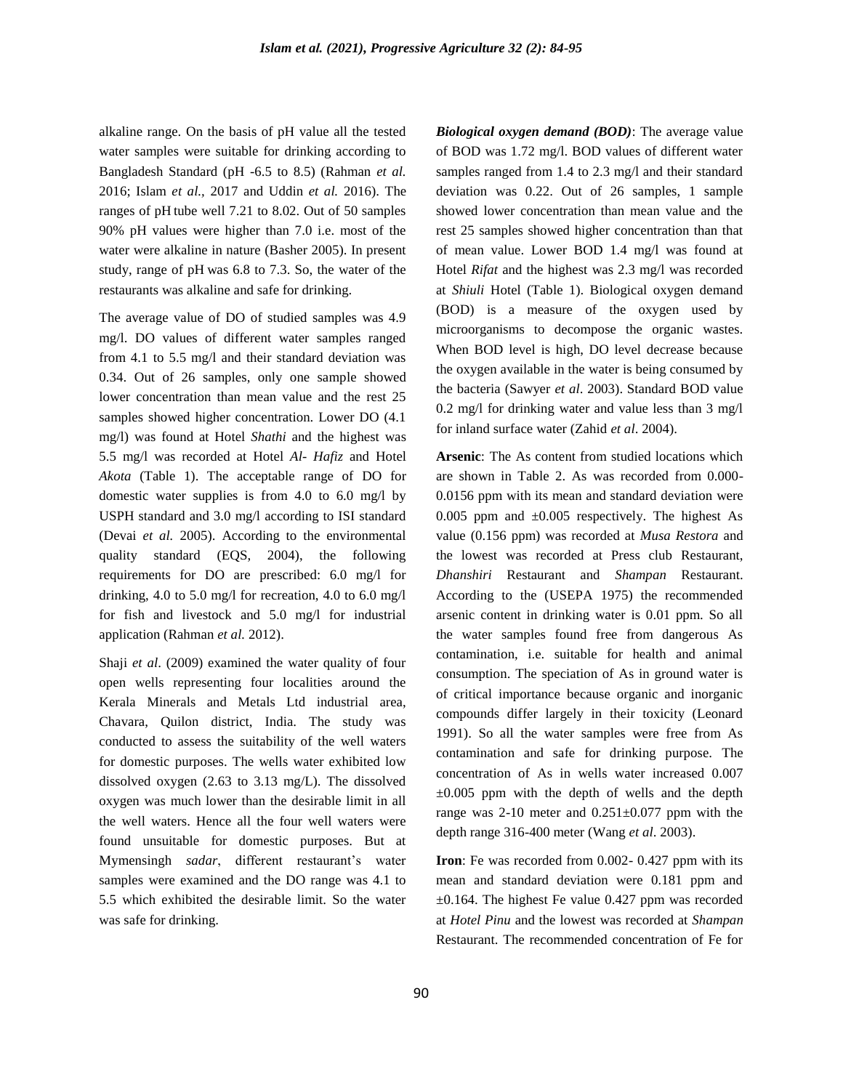alkaline range. On the basis of pH value all the tested water samples were suitable for drinking according to Bangladesh Standard (pH -6.5 to 8.5) (Rahman *et al.* 2016; Islam *et al.,* 2017 and Uddin *et al.* 2016). The ranges of pH tube well 7.21 to 8.02. Out of 50 samples 90% pH values were higher than 7.0 i.e. most of the water were alkaline in nature (Basher 2005). In present study, range of pH was 6.8 to 7.3. So, the water of the restaurants was alkaline and safe for drinking.

The average value of DO of studied samples was 4.9 mg/l. DO values of different water samples ranged from 4.1 to 5.5 mg/l and their standard deviation was 0.34. Out of 26 samples, only one sample showed lower concentration than mean value and the rest 25 samples showed higher concentration. Lower DO (4.1 mg/l) was found at Hotel *Shathi* and the highest was 5.5 mg/l was recorded at Hotel *Al- Hafiz* and Hotel *Akota* (Table 1). The acceptable range of DO for domestic water supplies is from 4.0 to 6.0 mg/l by USPH standard and 3.0 mg/l according to ISI standard (Devai *et al.* 2005). According to the environmental quality standard (EQS, 2004), the following requirements for DO are prescribed: 6.0 mg/l for drinking, 4.0 to 5.0 mg/l for recreation, 4.0 to 6.0 mg/l for fish and livestock and 5.0 mg/l for industrial application (Rahman *et al.* 2012).

Shaji *et al*. (2009) examined the water quality of four open wells representing four localities around the Kerala Minerals and Metals Ltd industrial area, Chavara, Quilon district, India. The study was conducted to assess the suitability of the well waters for domestic purposes. The wells water exhibited low dissolved oxygen (2.63 to 3.13 mg/L). The dissolved oxygen was much lower than the desirable limit in all the well waters. Hence all the four well waters were found unsuitable for domestic purposes. But at Mymensingh *sadar*, different restaurant's water samples were examined and the DO range was 4.1 to 5.5 which exhibited the desirable limit. So the water was safe for drinking.

*Biological oxygen demand (BOD)*: The average value of BOD was 1.72 mg/l. BOD values of different water samples ranged from 1.4 to 2.3 mg/l and their standard deviation was 0.22. Out of 26 samples, 1 sample showed lower concentration than mean value and the rest 25 samples showed higher concentration than that of mean value. Lower BOD 1.4 mg/l was found at Hotel *Rifat* and the highest was 2.3 mg/l was recorded at *Shiuli* Hotel (Table 1). Biological oxygen demand (BOD) is a measure of the oxygen used by microorganisms to decompose the organic wastes. When BOD level is high, DO level decrease because the oxygen available in the water is being consumed by the bacteria (Sawyer *et al*. 2003). Standard BOD value 0.2 mg/l for drinking water and value less than 3 mg/l for inland surface water (Zahid *et al*. 2004).

**Arsenic**: The As content from studied locations which are shown in Table 2. As was recorded from 0.000- 0.0156 ppm with its mean and standard deviation were 0.005 ppm and  $\pm$ 0.005 respectively. The highest As value (0.156 ppm) was recorded at *Musa Restora* and the lowest was recorded at Press club Restaurant, *Dhanshiri* Restaurant and *Shampan* Restaurant. According to the (USEPA 1975) the recommended arsenic content in drinking water is 0.01 ppm. So all the water samples found free from dangerous As contamination, i.e. suitable for health and animal consumption. The speciation of As in ground water is of critical importance because organic and inorganic compounds differ largely in their toxicity (Leonard 1991). So all the water samples were free from As contamination and safe for drinking purpose. The concentration of As in wells water increased 0.007  $\pm 0.005$  ppm with the depth of wells and the depth range was  $2{\text -}10$  meter and  $0.251{\text -}0.077$  ppm with the depth range 316-400 meter (Wang *et al*. 2003).

**Iron**: Fe was recorded from 0.002- 0.427 ppm with its mean and standard deviation were 0.181 ppm and  $\pm 0.164$ . The highest Fe value 0.427 ppm was recorded at *Hotel Pinu* and the lowest was recorded at *Shampan*  Restaurant. The recommended concentration of Fe for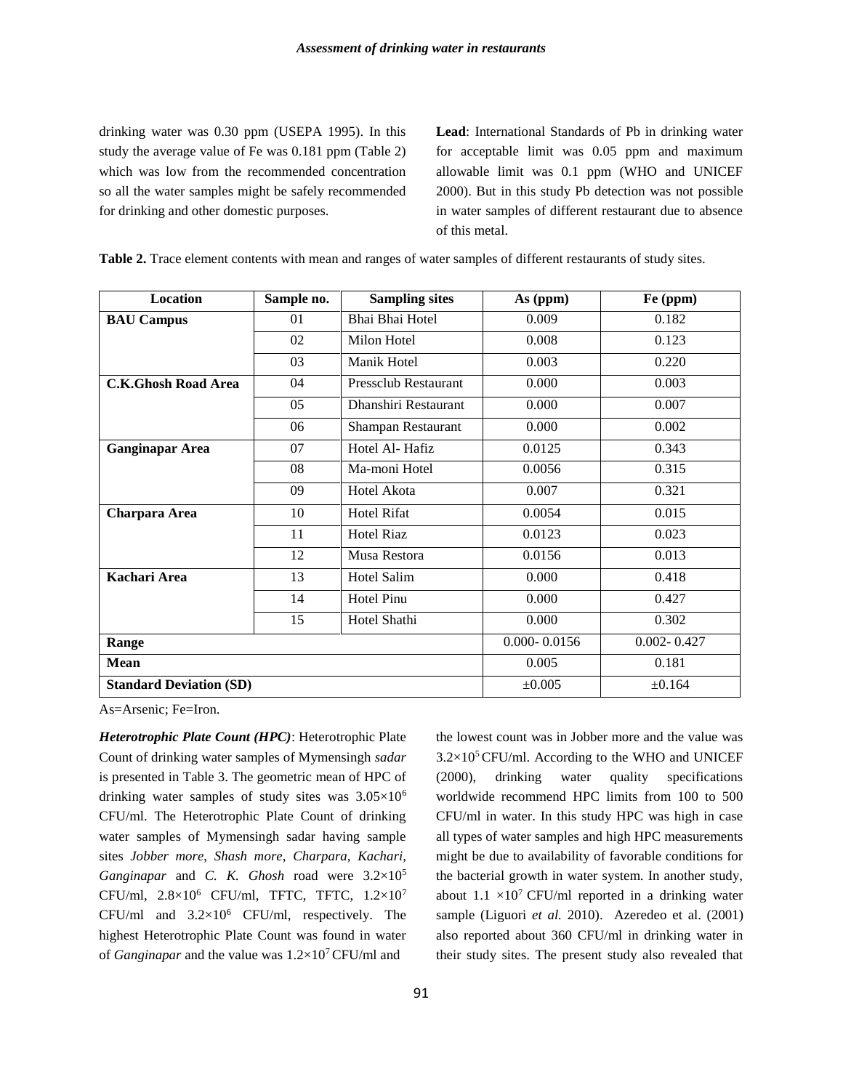drinking water was 0.30 ppm (USEPA 1995). In this study the average value of Fe was 0.181 ppm (Table 2) which was low from the recommended concentration so all the water samples might be safely recommended for drinking and other domestic purposes.

**Lead**: International Standards of Pb in drinking water for acceptable limit was 0.05 ppm and maximum allowable limit was 0.1 ppm (WHO and UNICEF 2000). But in this study Pb detection was not possible in water samples of different restaurant due to absence of this metal.

| Location                       | Sample no. | <b>Sampling sites</b>         | As (ppm)         | Fe (ppm)        |  |
|--------------------------------|------------|-------------------------------|------------------|-----------------|--|
| <b>BAU Campus</b>              | 01         | Bhai Bhai Hotel               | 0.009            | 0.182           |  |
|                                | 02         | Milon Hotel                   | 0.008            | 0.123           |  |
|                                | 03         | Manik Hotel                   | 0.003            | 0.220           |  |
| <b>C.K.Ghosh Road Area</b>     | 04         | Pressclub Restaurant<br>0.000 |                  | 0.003           |  |
|                                | 05         | Dhanshiri Restaurant          | 0.000            | 0.007           |  |
|                                | 06         | Shampan Restaurant            | 0.000            | 0.002           |  |
| <b>Ganginapar Area</b>         | 07         | Hotel Al-Hafiz                | 0.0125           | 0.343           |  |
|                                | 08         | Ma-moni Hotel                 | 0.0056           | 0.315           |  |
|                                | 09         | Hotel Akota                   | 0.007            | 0.321           |  |
| Charpara Area                  | 10         | <b>Hotel Rifat</b>            | 0.0054           | 0.015           |  |
|                                | 11         | <b>Hotel Riaz</b>             | 0.0123           | 0.023           |  |
|                                | 12         | Musa Restora                  | 0.0156           | 0.013           |  |
| Kachari Area                   | 13         | Hotel Salim                   | 0.000            | 0.418           |  |
|                                | 14         | <b>Hotel Pinu</b>             | 0.000            | 0.427           |  |
|                                | 15         | Hotel Shathi                  | 0.000            | 0.302           |  |
| Range                          |            |                               | $0.000 - 0.0156$ | $0.002 - 0.427$ |  |
| <b>Mean</b>                    |            | 0.005                         | 0.181            |                 |  |
| <b>Standard Deviation (SD)</b> |            |                               | ±0.005           | ±0.164          |  |

**Table 2.** Trace element contents with mean and ranges of water samples of different restaurants of study sites.

As=Arsenic; Fe=Iron.

*Heterotrophic Plate Count (HPC)*: Heterotrophic Plate Count of drinking water samples of Mymensingh *sadar* is presented in Table 3. The geometric mean of HPC of drinking water samples of study sites was 3.05×10<sup>6</sup> CFU/ml. The Heterotrophic Plate Count of drinking water samples of Mymensingh sadar having sample sites *Jobber more*, *Shash more*, *Charpara, Kachari, Ganginapar* and *C. K. Ghosh* road were 3.2×10<sup>5</sup> CFU/ml,  $2.8\times10^6$  CFU/ml, TFTC, TFTC,  $1.2\times10^7$ CFU/ml and  $3.2 \times 10^6$  CFU/ml, respectively. The highest Heterotrophic Plate Count was found in water of *Ganginapar* and the value was 1.2×10<sup>7</sup>CFU/ml and

the lowest count was in Jobber more and the value was  $3.2\times10^{5}$  CFU/ml. According to the WHO and UNICEF (2000), drinking water quality specifications worldwide recommend HPC limits from 100 to 500 CFU/ml in water. In this study HPC was high in case all types of water samples and high HPC measurements might be due to availability of favorable conditions for the bacterial growth in water system. In another study, about  $1.1 \times 10^7$  CFU/ml reported in a drinking water sample (Liguori *et al.* 2010). Azeredeo et al. (2001) also reported about 360 CFU/ml in drinking water in their study sites. The present study also revealed that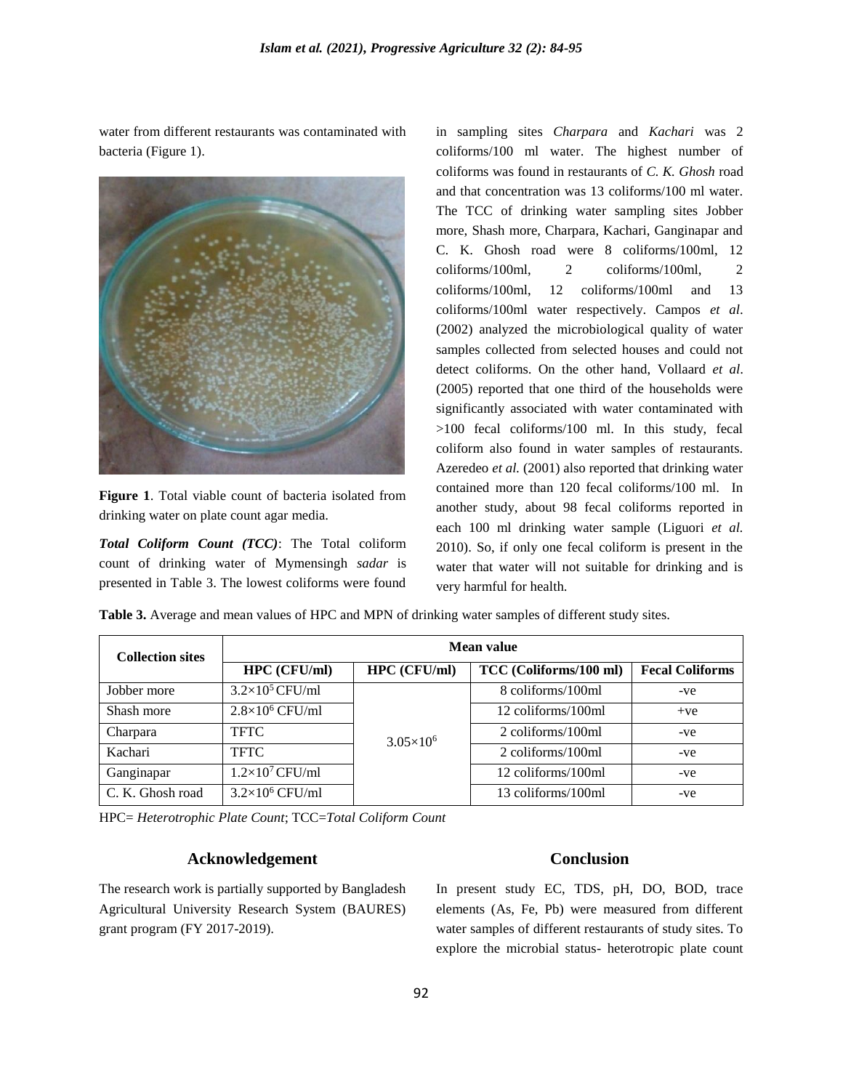water from different restaurants was contaminated with bacteria (Figure 1).



**Figure 1**. Total viable count of bacteria isolated from drinking water on plate count agar media.

*Total Coliform Count (TCC)*: The Total coliform count of drinking water of Mymensingh *sadar* is presented in Table 3. The lowest coliforms were found in sampling sites *Charpara* and *Kachari* was 2 coliforms/100 ml water. The highest number of coliforms was found in restaurants of *C. K. Ghosh* road and that concentration was 13 coliforms/100 ml water. The TCC of drinking water sampling sites Jobber more, Shash more, Charpara, Kachari, Ganginapar and C. K. Ghosh road were 8 coliforms/100ml, 12 coliforms/100ml, 2 coliforms/100ml, 2 coliforms/100ml, 12 coliforms/100ml and 13 coliforms/100ml water respectively. Campos *et al*. (2002) analyzed the microbiological quality of water samples collected from selected houses and could not detect coliforms. On the other hand, Vollaard *et al*. (2005) reported that one third of the households were significantly associated with water contaminated with >100 fecal coliforms/100 ml. In this study, fecal coliform also found in water samples of restaurants. Azeredeo *et al.* (2001) also reported that drinking water contained more than 120 fecal coliforms/100 ml. In another study, about 98 fecal coliforms reported in each 100 ml drinking water sample (Liguori *et al.*  2010). So, if only one fecal coliform is present in the water that water will not suitable for drinking and is very harmful for health.

**Table 3.** Average and mean values of HPC and MPN of drinking water samples of different study sites.

| <b>Collection sites</b> | Mean value             |                    |                        |                        |  |  |
|-------------------------|------------------------|--------------------|------------------------|------------------------|--|--|
|                         | HPC (CFU/ml)           | HPC (CFU/ml)       | TCC (Coliforms/100 ml) | <b>Fecal Coliforms</b> |  |  |
| Jobber more             | $3.2\times10^5$ CFU/ml |                    | 8 coliforms/100ml      | -ve                    |  |  |
| Shash more              | $2.8\times10^6$ CFU/ml |                    | 12 coliforms/100ml     | $+ve$                  |  |  |
| Charpara                | <b>TFTC</b>            | $3.05\times10^{6}$ | 2 coliforms/100ml      | -ve                    |  |  |
| Kachari                 | <b>TFTC</b>            |                    | 2 coliforms/100ml      | -ve                    |  |  |
| Ganginapar              | $1.2\times10^7$ CFU/ml |                    | 12 coliforms/100ml     | -ve                    |  |  |
| C. K. Ghosh road        | $3.2\times10^6$ CFU/ml |                    | 13 coliforms/100ml     | -ve                    |  |  |

HPC= *Heterotrophic Plate Count*; TCC=*Total Coliform Count*

## **Acknowledgement**

The research work is partially supported by Bangladesh Agricultural University Research System (BAURES) grant program (FY 2017-2019).

# **Conclusion**

In present study EC, TDS, pH, DO, BOD, trace elements (As, Fe, Pb) were measured from different water samples of different restaurants of study sites. To explore the microbial status- heterotropic plate count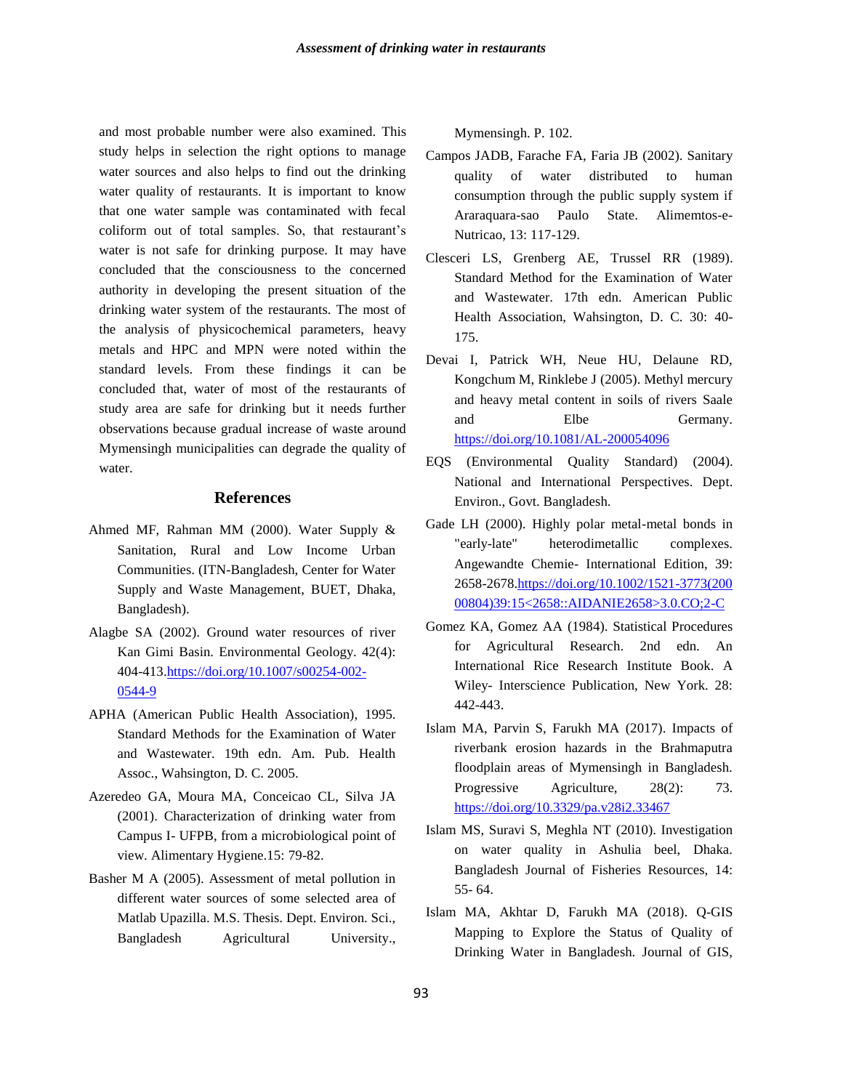and most probable number were also examined. This study helps in selection the right options to manage water sources and also helps to find out the drinking water quality of restaurants. It is important to know that one water sample was contaminated with fecal coliform out of total samples. So, that restaurant's water is not safe for drinking purpose. It may have concluded that the consciousness to the concerned authority in developing the present situation of the drinking water system of the restaurants. The most of the analysis of physicochemical parameters, heavy metals and HPC and MPN were noted within the standard levels. From these findings it can be concluded that, water of most of the restaurants of study area are safe for drinking but it needs further observations because gradual increase of waste around Mymensingh municipalities can degrade the quality of water.

#### **References**

- Ahmed MF, Rahman MM (2000). Water Supply & Sanitation, Rural and Low Income Urban Communities. (ITN-Bangladesh, Center for Water Supply and Waste Management, BUET, Dhaka, Bangladesh).
- Alagbe SA (2002). Ground water resources of river Kan Gimi Basin. Environmental Geology. 42(4): 404-413[.https://doi.org/10.1007/s00254-002-](https://doi.org/10.1007/s00254-002-0544-9) [0544-9](https://doi.org/10.1007/s00254-002-0544-9)
- APHA (American Public Health Association), 1995. Standard Methods for the Examination of Water and Wastewater. 19th edn. Am. Pub. Health Assoc., Wahsington, D. C. 2005.
- Azeredeo GA, Moura MA, Conceicao CL, Silva JA (2001). Characterization of drinking water from Campus I- UFPB, from a microbiological point of view. Alimentary Hygiene.15: 79-82.
- Basher M A (2005). Assessment of metal pollution in different water sources of some selected area of Matlab Upazilla. M.S. Thesis. Dept. Environ. Sci., Bangladesh Agricultural University.,

Mymensingh. P. 102.

- Campos JADB, Farache FA, Faria JB (2002). Sanitary quality of water distributed to human consumption through the public supply system if Araraquara-sao Paulo State. Alimemtos-e-Nutricao, 13: 117-129.
- Clesceri LS, Grenberg AE, Trussel RR (1989). Standard Method for the Examination of Water and Wastewater. 17th edn. American Public Health Association, Wahsington, D. C. 30: 40- 175.
- Devai I, Patrick WH, Neue HU, Delaune RD, Kongchum M, Rinklebe J (2005). Methyl mercury and heavy metal content in soils of rivers Saale and Elbe Germany. <https://doi.org/10.1081/AL-200054096>
- EQS (Environmental Quality Standard) (2004). National and International Perspectives. Dept. Environ., Govt. Bangladesh.
- Gade LH (2000). Highly polar metal-metal bonds in "early-late" heterodimetallic complexes. Angewandte Chemie- International Edition, 39: 2658-2678[.https://doi.org/10.1002/1521-3773\(200](https://doi.org/10.1002/1521-3773(200%2000804)39:15%3c2658::AIDANIE2658%3e3.0.CO;2-C)  [00804\)39:15<2658::AIDANIE2658>3.0.CO;2-C](https://doi.org/10.1002/1521-3773(200%2000804)39:15%3c2658::AIDANIE2658%3e3.0.CO;2-C)
- Gomez KA, Gomez AA (1984). Statistical Procedures for Agricultural Research. 2nd edn. An International Rice Research Institute Book. A Wiley- Interscience Publication, New York. 28: 442-443.
- Islam MA, Parvin S, Farukh MA (2017). Impacts of riverbank erosion hazards in the Brahmaputra floodplain areas of Mymensingh in Bangladesh. Progressive Agriculture, 28(2): 73. <https://doi.org/10.3329/pa.v28i2.33467>
- Islam MS, Suravi S, Meghla NT (2010). Investigation on water quality in Ashulia beel, Dhaka. Bangladesh Journal of Fisheries Resources, 14: 55- 64.
- Islam MA, Akhtar D, Farukh MA (2018). Q-GIS Mapping to Explore the Status of Quality of Drinking Water in Bangladesh. Journal of GIS,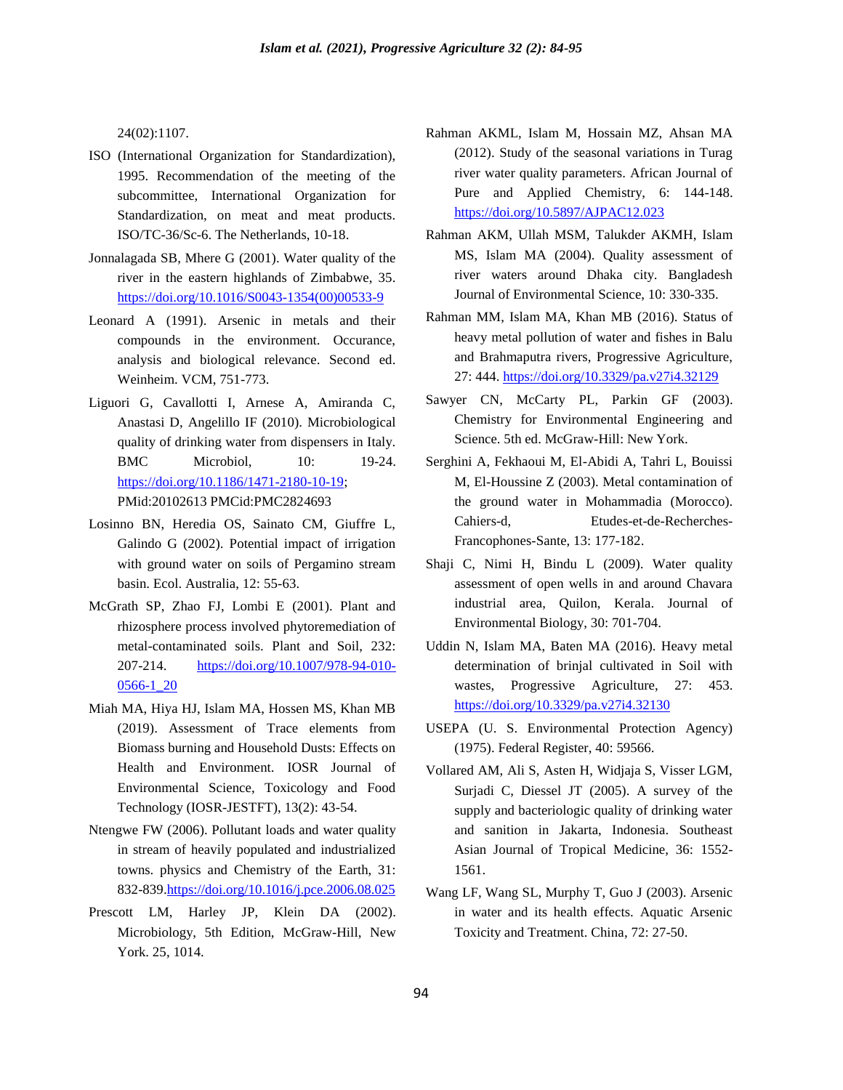24(02):1107.

- ISO (International Organization for Standardization), 1995. Recommendation of the meeting of the subcommittee, International Organization for Standardization, on meat and meat products. ISO/TC-36/Sc-6. The Netherlands, 10-18.
- Jonnalagada SB, Mhere G (2001). Water quality of the river in the eastern highlands of Zimbabwe, 35. [https://doi.org/10.1016/S0043-1354\(00\)00533-9](https://doi.org/10.1016/S0043-1354(00)00533-9)
- Leonard A (1991). Arsenic in metals and their compounds in the environment. Occurance, analysis and biological relevance. Second ed. Weinheim. VCM, 751-773.
- Liguori G, Cavallotti I, Arnese A, Amiranda C, Anastasi D, Angelillo IF (2010). Microbiological quality of drinking water from dispensers in Italy. BMC Microbiol, 10: 19-24. [https://doi.org/10.1186/1471-2180-10-19;](https://doi.org/10.1186/1471-2180-10-19) PMid:20102613 PMCid:PMC2824693
- Losinno BN, Heredia OS, Sainato CM, Giuffre L, Galindo G (2002). Potential impact of irrigation with ground water on soils of Pergamino stream basin. Ecol. Australia, 12: 55-63.
- McGrath SP, Zhao FJ, Lombi E (2001). Plant and rhizosphere process involved phytoremediation of metal-contaminated soils. Plant and Soil, 232: 207-214. [https://doi.org/10.1007/978-94-010-](https://doi.org/10.1007/978-94-010-0566-1_20) [0566-1\\_20](https://doi.org/10.1007/978-94-010-0566-1_20)
- Miah MA, Hiya HJ, Islam MA, Hossen MS, Khan MB (2019). Assessment of Trace elements from Biomass burning and Household Dusts: Effects on Health and Environment. IOSR Journal of Environmental Science, Toxicology and Food Technology (IOSR-JESTFT), 13(2): 43-54.
- Ntengwe FW (2006). Pollutant loads and water quality in stream of heavily populated and industrialized towns. physics and Chemistry of the Earth, 31: 832-839[.https://doi.org/10.1016/j.pce.2006.08.025](https://doi.org/10.1016/j.pce.2006.08.025)
- Prescott LM, Harley JP, Klein DA (2002). Microbiology, 5th Edition, McGraw-Hill, New York. 25, 1014.
- Rahman AKML, Islam M, Hossain MZ, Ahsan MA (2012). Study of the seasonal variations in Turag river water quality parameters. African Journal of Pure and Applied Chemistry, 6: 144-148. <https://doi.org/10.5897/AJPAC12.023>
- Rahman AKM, Ullah MSM, Talukder AKMH, Islam MS, Islam MA (2004). Quality assessment of river waters around Dhaka city. Bangladesh Journal of Environmental Science, 10: 330-335.
- Rahman MM, Islam MA, Khan MB (2016). Status of heavy metal pollution of water and fishes in Balu and Brahmaputra rivers, Progressive Agriculture, 27: 444. <https://doi.org/10.3329/pa.v27i4.32129>
- Sawyer CN, McCarty PL, Parkin GF (2003). Chemistry for Environmental Engineering and Science. 5th ed. McGraw-Hill: New York.
- Serghini A, Fekhaoui M, El-Abidi A, Tahri L, Bouissi M, El-Houssine Z (2003). Metal contamination of the ground water in Mohammadia (Morocco). Cahiers-d, Etudes-et-de-Recherches-Francophones-Sante, 13: 177-182.
- Shaji C, Nimi H, Bindu L (2009). Water quality assessment of open wells in and around Chavara industrial area, Quilon, Kerala. Journal of Environmental Biology, 30: 701-704.
- Uddin N, Islam MA, Baten MA (2016). Heavy metal determination of brinjal cultivated in Soil with wastes, Progressive Agriculture, 27: 453. <https://doi.org/10.3329/pa.v27i4.32130>
- USEPA (U. S. Environmental Protection Agency) (1975). Federal Register, 40: 59566.
- Vollared AM, Ali S, Asten H, Widjaja S, Visser LGM, Surjadi C, Diessel JT (2005). A survey of the supply and bacteriologic quality of drinking water and sanition in Jakarta, Indonesia. Southeast Asian Journal of Tropical Medicine, 36: 1552- 1561.
- Wang LF, Wang SL, Murphy T, Guo J (2003). Arsenic in water and its health effects. Aquatic Arsenic Toxicity and Treatment. China, 72: 27-50.